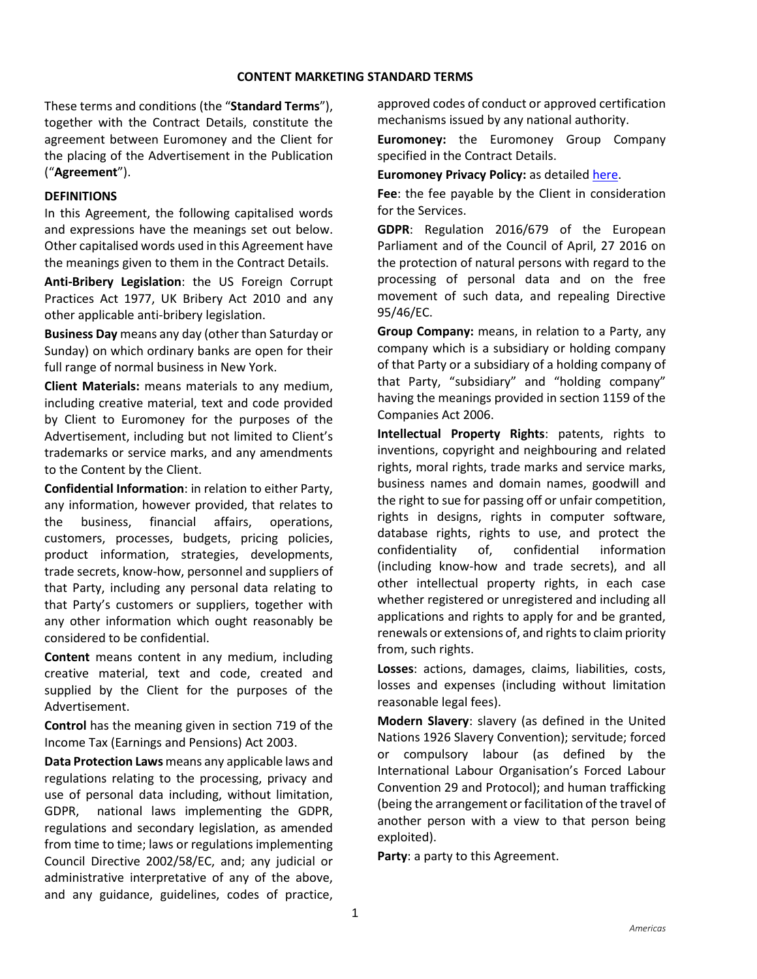These terms and conditions (the "**Standard Terms**"), together with the Contract Details, constitute the agreement between Euromoney and the Client for the placing of the Advertisement in the Publication ("**Agreement**").

### **DEFINITIONS**

In this Agreement, the following capitalised words and expressions have the meanings set out below. Other capitalised words used in this Agreement have the meanings given to them in the Contract Details.

**Anti-Bribery Legislation**: the US Foreign Corrupt Practices Act 1977, UK Bribery Act 2010 and any other applicable anti-bribery legislation.

**Business Day** means any day (other than Saturday or Sunday) on which ordinary banks are open for their full range of normal business in New York.

**Client Materials:** means materials to any medium, including creative material, text and code provided by Client to Euromoney for the purposes of the Advertisement, including but not limited to Client's trademarks or service marks, and any amendments to the Content by the Client.

**Confidential Information**: in relation to either Party, any information, however provided, that relates to the business, financial affairs, operations, customers, processes, budgets, pricing policies, product information, strategies, developments, trade secrets, know-how, personnel and suppliers of that Party, including any personal data relating to that Party's customers or suppliers, together with any other information which ought reasonably be considered to be confidential.

**Content** means content in any medium, including creative material, text and code, created and supplied by the Client for the purposes of the Advertisement.

**Control** has the meaning given in section 719 of the Income Tax (Earnings and Pensions) Act 2003.

**Data Protection Laws** means any applicable laws and regulations relating to the processing, privacy and use of personal data including, without limitation, GDPR, national laws implementing the GDPR, regulations and secondary legislation, as amended from time to time; laws or regulations implementing Council Directive 2002/58/EC, and; any judicial or administrative interpretative of any of the above, and any guidance, guidelines, codes of practice,

approved codes of conduct or approved certification mechanisms issued by any national authority.

**Euromoney:** the Euromoney Group Company specified in the Contract Details.

**Euromoney Privacy Policy:** as detailed [here.](https://www.euromoneyplc.com/privacy-policy)

**Fee**: the fee payable by the Client in consideration for the Services.

**GDPR**: Regulation 2016/679 of the European Parliament and of the Council of April, 27 2016 on the protection of natural persons with regard to the processing of personal data and on the free movement of such data, and repealing Directive 95/46/EC.

**Group Company:** means, in relation to a Party, any company which is a subsidiary or holding company of that Party or a subsidiary of a holding company of that Party, "subsidiary" and "holding company" having the meanings provided in section 1159 of the Companies Act 2006.

**Intellectual Property Rights**: patents, rights to inventions, copyright and neighbouring and related rights, moral rights, trade marks and service marks, business names and domain names, goodwill and the right to sue for passing off or unfair competition, rights in designs, rights in computer software, database rights, rights to use, and protect the confidentiality of, confidential information (including know-how and trade secrets), and all other intellectual property rights, in each case whether registered or unregistered and including all applications and rights to apply for and be granted, renewals or extensions of, and rights to claim priority from, such rights.

**Losses**: actions, damages, claims, liabilities, costs, losses and expenses (including without limitation reasonable legal fees).

**Modern Slavery**: slavery (as defined in the United Nations 1926 Slavery Convention); servitude; forced or compulsory labour (as defined by the International Labour Organisation's Forced Labour Convention 29 and Protocol); and human trafficking (being the arrangement or facilitation of the travel of another person with a view to that person being exploited).

**Party**: a party to this Agreement.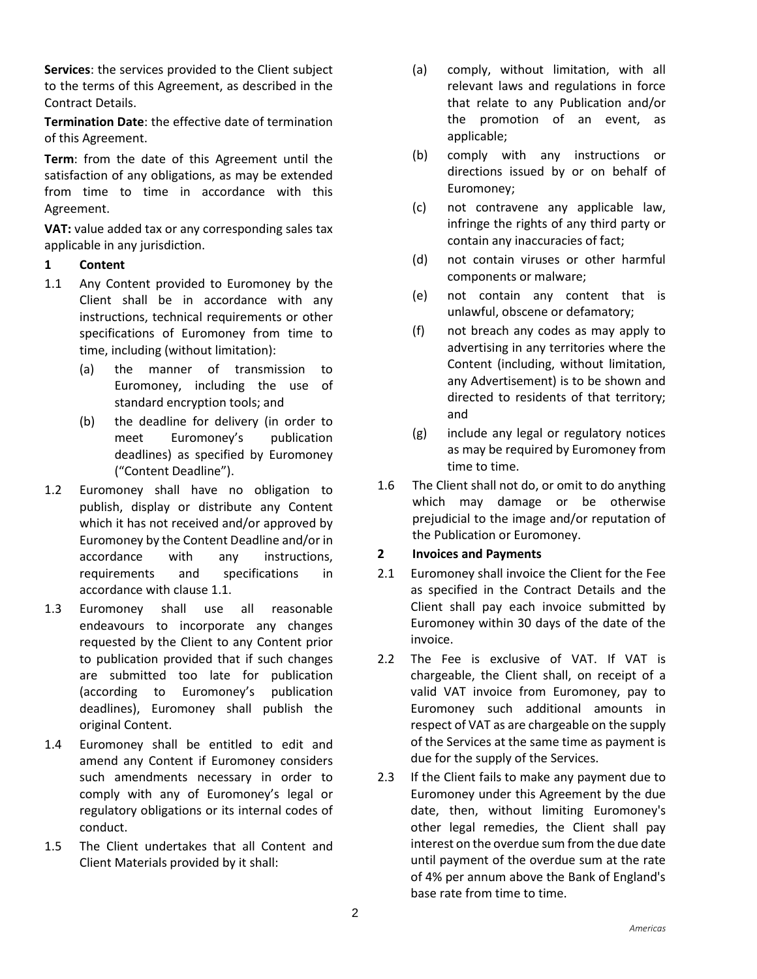**Services**: the services provided to the Client subject to the terms of this Agreement, as described in the Contract Details.

**Termination Date**: the effective date of termination of this Agreement.

**Term**: from the date of this Agreement until the satisfaction of any obligations, as may be extended from time to time in accordance with this Agreement.

**VAT:** value added tax or any corresponding sales tax applicable in any jurisdiction.

### **1 Content**

- <span id="page-1-0"></span>1.1 Any Content provided to Euromoney by the Client shall be in accordance with any instructions, technical requirements or other specifications of Euromoney from time to time, including (without limitation):
	- (a) the manner of transmission to Euromoney, including the use of standard encryption tools; and
	- (b) the deadline for delivery (in order to meet Euromoney's publication deadlines) as specified by Euromoney ("Content Deadline").
- 1.2 Euromoney shall have no obligation to publish, display or distribute any Content which it has not received and/or approved by Euromoney by the Content Deadline and/or in accordance with any instructions, requirements and specifications in accordance with clause [1.1.](#page-1-0)
- 1.3 Euromoney shall use all reasonable endeavours to incorporate any changes requested by the Client to any Content prior to publication provided that if such changes are submitted too late for publication (according to Euromoney's publication deadlines), Euromoney shall publish the original Content.
- 1.4 Euromoney shall be entitled to edit and amend any Content if Euromoney considers such amendments necessary in order to comply with any of Euromoney's legal or regulatory obligations or its internal codes of conduct.
- 1.5 The Client undertakes that all Content and Client Materials provided by it shall:
- (a) comply, without limitation, with all relevant laws and regulations in force that relate to any Publication and/or the promotion of an event, as applicable;
- (b) comply with any instructions or directions issued by or on behalf of Euromoney;
- (c) not contravene any applicable law, infringe the rights of any third party or contain any inaccuracies of fact;
- (d) not contain viruses or other harmful components or malware;
- (e) not contain any content that is unlawful, obscene or defamatory;
- (f) not breach any codes as may apply to advertising in any territories where the Content (including, without limitation, any Advertisement) is to be shown and directed to residents of that territory; and
- (g) include any legal or regulatory notices as may be required by Euromoney from time to time.
- 1.6 The Client shall not do, or omit to do anything which may damage or be otherwise prejudicial to the image and/or reputation of the Publication or Euromoney.

#### **2 Invoices and Payments**

- 2.1 Euromoney shall invoice the Client for the Fee as specified in the Contract Details and the Client shall pay each invoice submitted by Euromoney within 30 days of the date of the invoice.
- 2.2 The Fee is exclusive of VAT. If VAT is chargeable, the Client shall, on receipt of a valid VAT invoice from Euromoney, pay to Euromoney such additional amounts in respect of VAT as are chargeable on the supply of the Services at the same time as payment is due for the supply of the Services.
- 2.3 If the Client fails to make any payment due to Euromoney under this Agreement by the due date, then, without limiting Euromoney's other legal remedies, the Client shall pay interest on the overdue sum from the due date until payment of the overdue sum at the rate of 4% per annum above the Bank of England's base rate from time to time.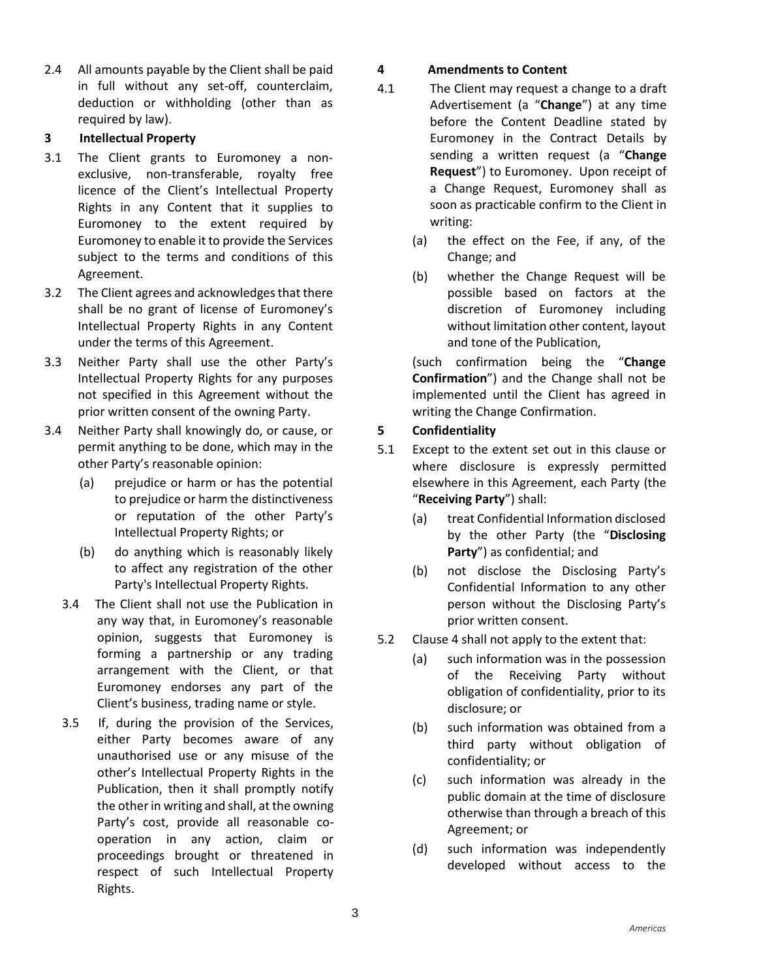2.4 All amounts payable by the Client shall be paid in full without any set-off, counterclaim, deduction or withholding (other than as required by law).

### **3 Intellectual Property**

- 3.1 The Client grants to Euromoney a nonexclusive, non-transferable, royalty free licence of the Client's Intellectual Property Rights in any Content that it supplies to Euromoney to the extent required by Euromoney to enable it to provide the Services subject to the terms and conditions of this Agreement.
- 3.2 The Client agrees and acknowledges that there shall be no grant of license of Euromoney's Intellectual Property Rights in any Content under the terms of this Agreement.
- 3.3 Neither Party shall use the other Party's Intellectual Property Rights for any purposes not specified in this Agreement without the prior written consent of the owning Party.
- 3.4 Neither Party shall knowingly do, or cause, or permit anything to be done, which may in the other Party's reasonable opinion:
	- (a) prejudice or harm or has the potential to prejudice or harm the distinctiveness or reputation of the other Party's Intellectual Property Rights; or
	- (b) do anything which is reasonably likely to affect any registration of the other Party's Intellectual Property Rights.
	- 3.4 The Client shall not use the Publication in any way that, in Euromoney's reasonable opinion, suggests that Euromoney is forming a partnership or any trading arrangement with the Client, or that Euromoney endorses any part of the Client's business, trading name or style.
	- 3.5 If, during the provision of the Services, either Party becomes aware of any unauthorised use or any misuse of the other's Intellectual Property Rights in the Publication, then it shall promptly notify the other in writing and shall, at the owning Party's cost, provide all reasonable cooperation in any action, claim or proceedings brought or threatened in respect of such Intellectual Property Rights.

### **4 Amendments to Content**

- 4.1 The Client may request a change to a draft Advertisement (a "**Change**") at any time before the Content Deadline stated by Euromoney in the Contract Details by sending a written request (a "**Change Request**") to Euromoney. Upon receipt of a Change Request, Euromoney shall as soon as practicable confirm to the Client in writing:
	- (a) the effect on the Fee, if any, of the Change; and
	- (b) whether the Change Request will be possible based on factors at the discretion of Euromoney including without limitation other content, layout and tone of the Publication,

(such confirmation being the "**Change Confirmation**") and the Change shall not be implemented until the Client has agreed in writing the Change Confirmation.

### **5 Confidentiality**

- <span id="page-2-0"></span>5.1 Except to the extent set out in this clause or where disclosure is expressly permitted elsewhere in this Agreement, each Party (the "**Receiving Party**") shall:
	- (a) treat Confidential Information disclosed by the other Party (the "**Disclosing Party**") as confidential; and
	- (b) not disclose the Disclosing Party's Confidential Information to any other person without the Disclosing Party's prior written consent.
- 5.2 Clause [4](#page-2-0) shall not apply to the extent that:
	- (a) such information was in the possession of the Receiving Party without obligation of confidentiality, prior to its disclosure; or
	- (b) such information was obtained from a third party without obligation of confidentiality; or
	- (c) such information was already in the public domain at the time of disclosure otherwise than through a breach of this Agreement; or
	- (d) such information was independently developed without access to the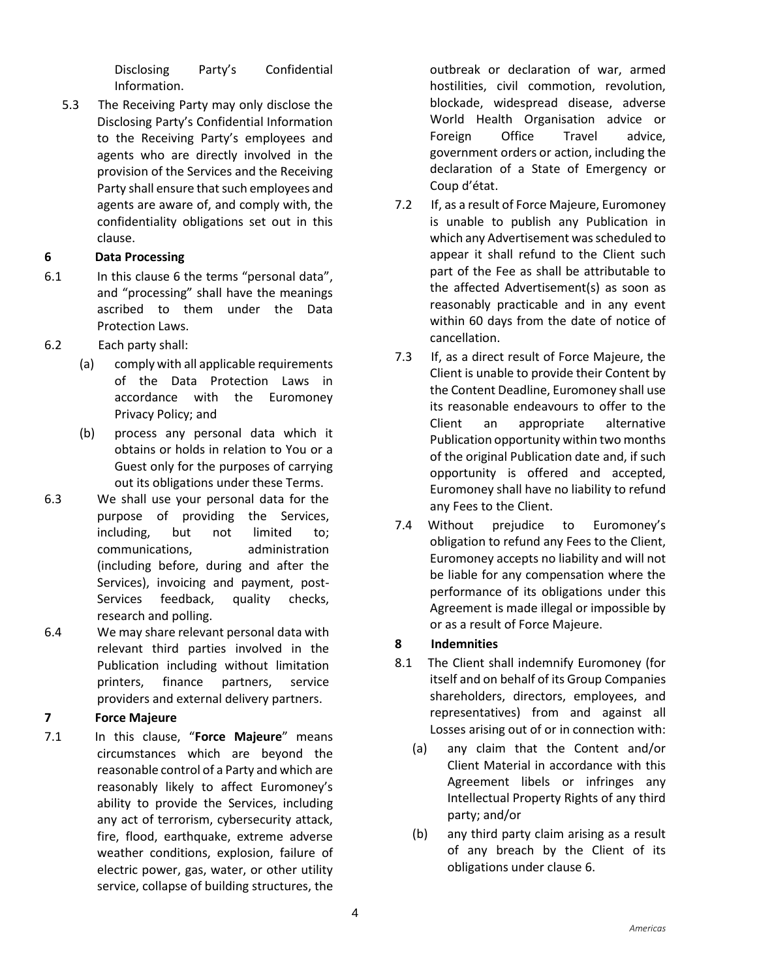Disclosing Party's Confidential Information.

5.3 The Receiving Party may only disclose the Disclosing Party's Confidential Information to the Receiving Party's employees and agents who are directly involved in the provision of the Services and the Receiving Party shall ensure that such employees and agents are aware of, and comply with, the confidentiality obligations set out in this clause.

## <span id="page-3-0"></span>**6 Data Processing**

- 6.1 In this clause 6 the terms "personal data", and "processing" shall have the meanings ascribed to them under the Data Protection Laws.
- 6.2 Each party shall:
	- (a) comply with all applicable requirements of the Data Protection Laws in accordance with the Euromoney Privacy Policy; and
	- (b) process any personal data which it obtains or holds in relation to You or a Guest only for the purposes of carrying out its obligations under these Terms.
- 6.3 We shall use your personal data for the purpose of providing the Services, including, but not limited to; communications, administration (including before, during and after the Services), invoicing and payment, post-Services feedback, quality checks, research and polling.
- 6.4 We may share relevant personal data with relevant third parties involved in the Publication including without limitation printers, finance partners, service providers and external delivery partners.

# **7 Force Majeure**

7.1 In this clause, "**Force Majeure**" means circumstances which are beyond the reasonable control of a Party and which are reasonably likely to affect Euromoney's ability to provide the Services, including any act of terrorism, cybersecurity attack, fire, flood, earthquake, extreme adverse weather conditions, explosion, failure of electric power, gas, water, or other utility service, collapse of building structures, the outbreak or declaration of war, armed hostilities, civil commotion, revolution, blockade, widespread disease, adverse World Health Organisation advice or Foreign Office Travel advice, government orders or action, including the declaration of a State of Emergency or Coup d'état.

- 7.2 If, as a result of Force Majeure, Euromoney is unable to publish any Publication in which any Advertisement was scheduled to appear it shall refund to the Client such part of the Fee as shall be attributable to the affected Advertisement(s) as soon as reasonably practicable and in any event within 60 days from the date of notice of cancellation.
- 7.3 If, as a direct result of Force Majeure, the Client is unable to provide their Content by the Content Deadline, Euromoney shall use its reasonable endeavours to offer to the Client an appropriate alternative Publication opportunity within two months of the original Publication date and, if such opportunity is offered and accepted, Euromoney shall have no liability to refund any Fees to the Client.
- 7.4 Without prejudice to Euromoney's obligation to refund any Fees to the Client, Euromoney accepts no liability and will not be liable for any compensation where the performance of its obligations under this Agreement is made illegal or impossible by or as a result of Force Majeure.

## **8 Indemnities**

- <span id="page-3-1"></span>8.1 The Client shall indemnify Euromoney (for itself and on behalf of its Group Companies shareholders, directors, employees, and representatives) from and against all Losses arising out of or in connection with:
	- (a) any claim that the Content and/or Client Material in accordance with this Agreement libels or infringes any Intellectual Property Rights of any third party; and/or
	- (b) any third party claim arising as a result of any breach by the Client of its obligations under clause [6.](#page-3-0)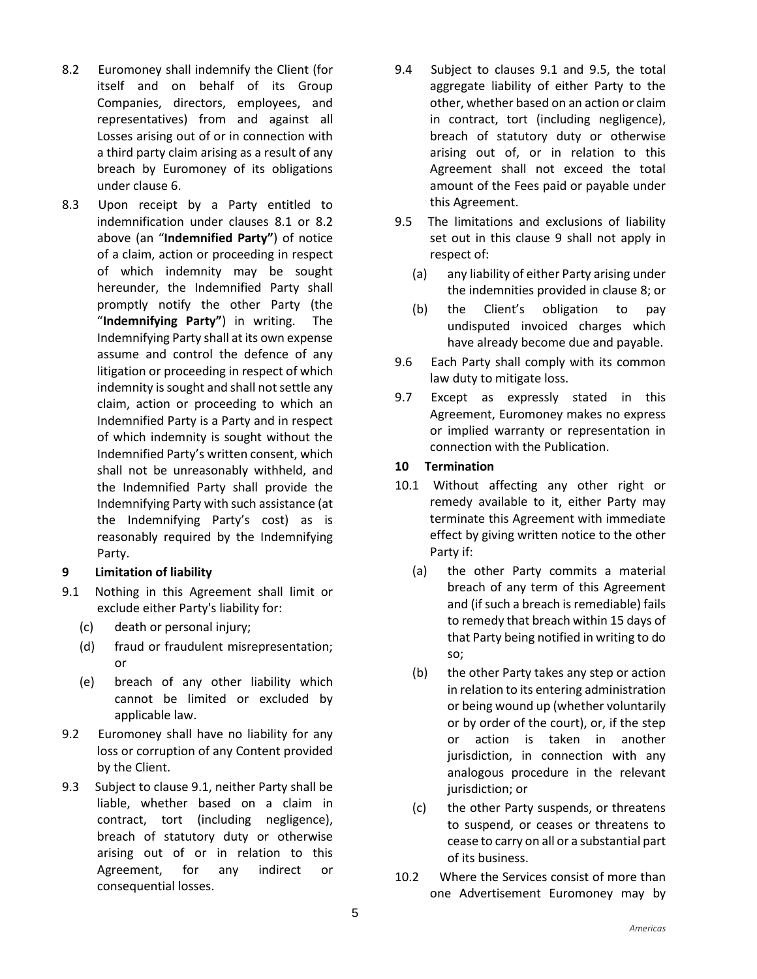- <span id="page-4-0"></span>8.2 Euromoney shall indemnify the Client (for itself and on behalf of its Group Companies, directors, employees, and representatives) from and against all Losses arising out of or in connection with a third party claim arising as a result of any breach by Euromoney of its obligations under clause [6.](#page-3-0)
- 8.3 Upon receipt by a Party entitled to indemnification under clauses [8.1](#page-3-1) or [8.2](#page-4-0) above (an "**Indemnified Party"**) of notice of a claim, action or proceeding in respect of which indemnity may be sought hereunder, the Indemnified Party shall promptly notify the other Party (the "**Indemnifying Party"**) in writing. The Indemnifying Party shall at its own expense assume and control the defence of any litigation or proceeding in respect of which indemnity is sought and shall not settle any claim, action or proceeding to which an Indemnified Party is a Party and in respect of which indemnity is sought without the Indemnified Party's written consent, which shall not be unreasonably withheld, and the Indemnified Party shall provide the Indemnifying Party with such assistance (at the Indemnifying Party's cost) as is reasonably required by the Indemnifying Party.

## **9 Limitation of liability**

- <span id="page-4-1"></span>9.1 Nothing in this Agreement shall limit or exclude either Party's liability for:
	- (c) death or personal injury;
	- (d) fraud or fraudulent misrepresentation; or
	- (e) breach of any other liability which cannot be limited or excluded by applicable law.
- 9.2 Euromoney shall have no liability for any loss or corruption of any Content provided by the Client.
- 9.3 Subject to clause [9.1,](#page-4-1) neither Party shall be liable, whether based on a claim in contract, tort (including negligence), breach of statutory duty or otherwise arising out of or in relation to this Agreement, for any indirect or consequential losses.
- 9.4 Subject to clauses 9.1 and [9.5,](#page-4-2) the total aggregate liability of either Party to the other, whether based on an action or claim in contract, tort (including negligence), breach of statutory duty or otherwise arising out of, or in relation to this Agreement shall not exceed the total amount of the Fees paid or payable under this Agreement.
- <span id="page-4-2"></span>9.5 The limitations and exclusions of liability set out in this clause 9 shall not apply in respect of:
	- (a) any liability of either Party arising under the indemnities provided in clause 8; or
	- (b) the Client's obligation to pay undisputed invoiced charges which have already become due and payable.
- 9.6 Each Party shall comply with its common law duty to mitigate loss.
- 9.7 Except as expressly stated in this Agreement, Euromoney makes no express or implied warranty or representation in connection with the Publication.

#### **10 Termination**

- <span id="page-4-3"></span>10.1 Without affecting any other right or remedy available to it, either Party may terminate this Agreement with immediate effect by giving written notice to the other Party if:
	- (a) the other Party commits a material breach of any term of this Agreement and (if such a breach is remediable) fails to remedy that breach within 15 days of that Party being notified in writing to do so;
	- (b) the other Party takes any step or action in relation to its entering administration or being wound up (whether voluntarily or by order of the court), or, if the step or action is taken in another jurisdiction, in connection with any analogous procedure in the relevant jurisdiction; or
	- (c) the other Party suspends, or threatens to suspend, or ceases or threatens to cease to carry on all or a substantial part of its business.
- <span id="page-4-4"></span>10.2 Where the Services consist of more than one Advertisement Euromoney may by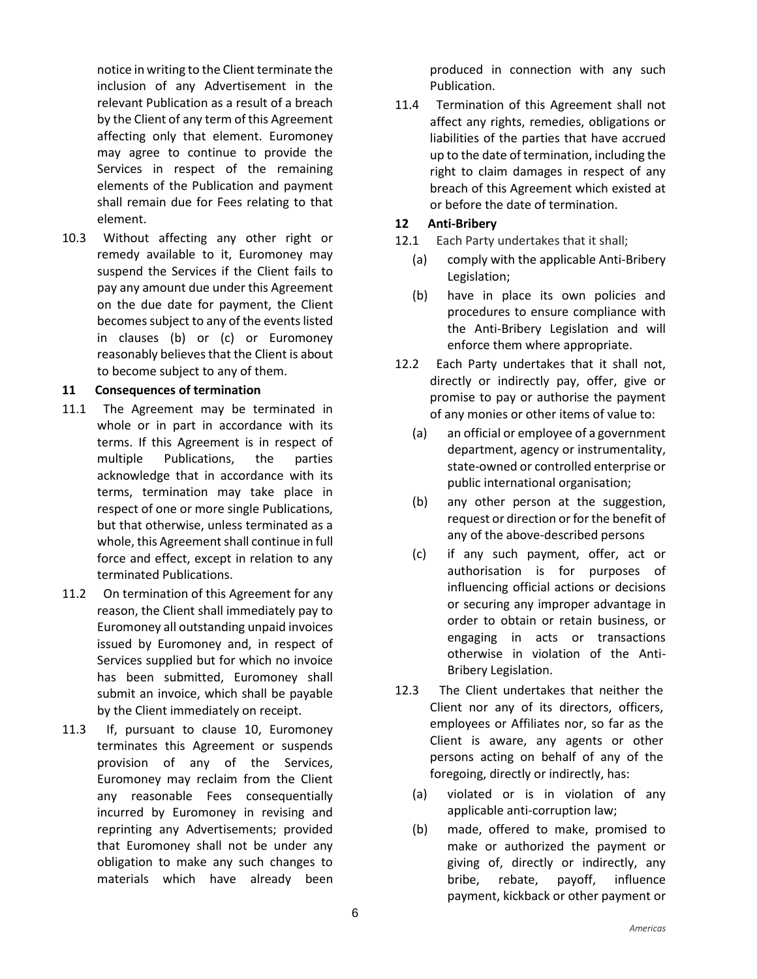notice in writing to the Client terminate the inclusion of any Advertisement in the relevant Publication as a result of a breach by the Client of any term of this Agreement affecting only that element. Euromoney may agree to continue to provide the Services in respect of the remaining elements of the Publication and payment shall remain due for Fees relating to that element.

10.3 Without affecting any other right or remedy available to it, Euromoney may suspend the Services if the Client fails to pay any amount due under this Agreement on the due date for payment, the Client becomes subject to any of the events listed in clauses [\(b\)](#page-4-3) or [\(c\)](#page-4-4) or Euromoney reasonably believes that the Client is about to become subject to any of them.

#### **11 Consequences of termination**

- 11.1 The Agreement may be terminated in whole or in part in accordance with its terms. If this Agreement is in respect of multiple Publications, the parties acknowledge that in accordance with its terms, termination may take place in respect of one or more single Publications, but that otherwise, unless terminated as a whole, this Agreement shall continue in full force and effect, except in relation to any terminated Publications.
- 11.2 On termination of this Agreement for any reason, the Client shall immediately pay to Euromoney all outstanding unpaid invoices issued by Euromoney and, in respect of Services supplied but for which no invoice has been submitted, Euromoney shall submit an invoice, which shall be payable by the Client immediately on receipt.
- 11.3 If, pursuant to clause 10, Euromoney terminates this Agreement or suspends provision of any of the Services, Euromoney may reclaim from the Client any reasonable Fees consequentially incurred by Euromoney in revising and reprinting any Advertisements; provided that Euromoney shall not be under any obligation to make any such changes to materials which have already been

produced in connection with any such Publication.

11.4 Termination of this Agreement shall not affect any rights, remedies, obligations or liabilities of the parties that have accrued up to the date of termination, including the right to claim damages in respect of any breach of this Agreement which existed at or before the date of termination.

### **12 Anti-Bribery**

- 12.1 Each Party undertakes that it shall;
	- (a) comply with the applicable Anti-Bribery Legislation;
	- (b) have in place its own policies and procedures to ensure compliance with the Anti-Bribery Legislation and will enforce them where appropriate.
- 12.2 Each Party undertakes that it shall not, directly or indirectly pay, offer, give or promise to pay or authorise the payment of any monies or other items of value to:
	- (a) an official or employee of a government department, agency or instrumentality, state-owned or controlled enterprise or public international organisation;
	- (b) any other person at the suggestion, request or direction or for the benefit of any of the above-described persons
	- (c) if any such payment, offer, act or authorisation is for purposes of influencing official actions or decisions or securing any improper advantage in order to obtain or retain business, or engaging in acts or transactions otherwise in violation of the Anti-Bribery Legislation.
- 12.3 The Client undertakes that neither the Client nor any of its directors, officers, employees or Affiliates nor, so far as the Client is aware, any agents or other persons acting on behalf of any of the foregoing, directly or indirectly, has:
	- (a) violated or is in violation of any applicable anti-corruption law;
	- (b) made, offered to make, promised to make or authorized the payment or giving of, directly or indirectly, any bribe, rebate, payoff, influence payment, kickback or other payment or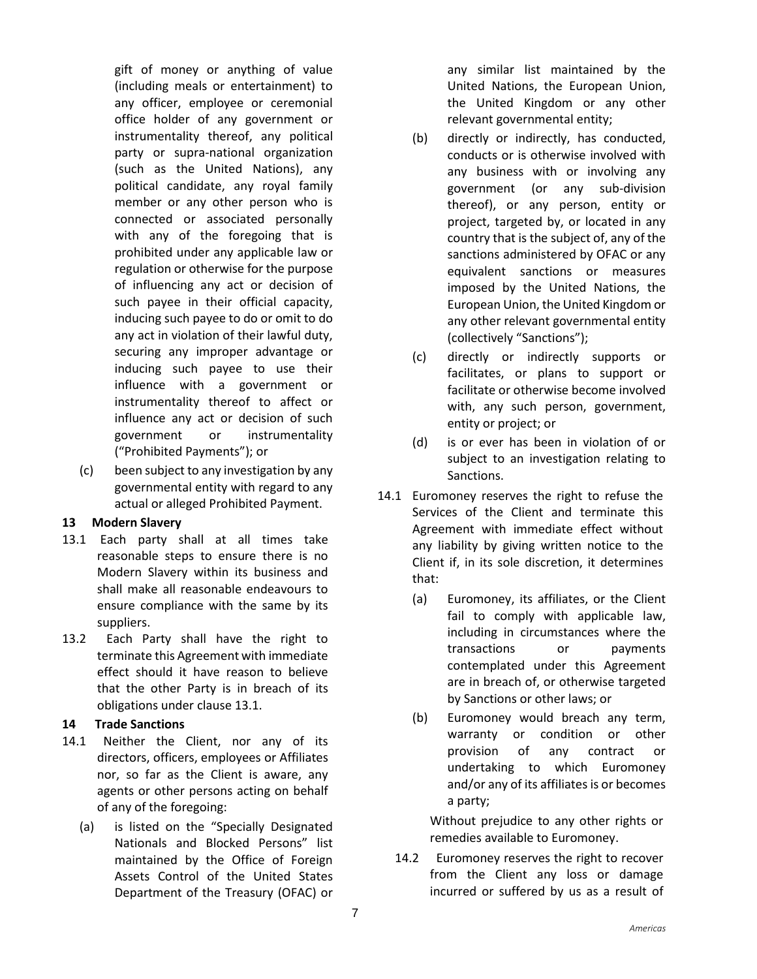gift of money or anything of value (including meals or entertainment) to any officer, employee or ceremonial office holder of any government or instrumentality thereof, any political party or supra-national organization (such as the United Nations), any political candidate, any royal family member or any other person who is connected or associated personally with any of the foregoing that is prohibited under any applicable law or regulation or otherwise for the purpose of influencing any act or decision of such payee in their official capacity, inducing such payee to do or omit to do any act in violation of their lawful duty, securing any improper advantage or inducing such payee to use their influence with a government or instrumentality thereof to affect or influence any act or decision of such government or instrumentality ("Prohibited Payments"); or

(c) been subject to any investigation by any governmental entity with regard to any actual or alleged Prohibited Payment.

#### **13 Modern Slavery**

- 13.1 Each party shall at all times take reasonable steps to ensure there is no Modern Slavery within its business and shall make all reasonable endeavours to ensure compliance with the same by its suppliers.
- 13.2 Each Party shall have the right to terminate this Agreement with immediate effect should it have reason to believe that the other Party is in breach of its obligations under clause 13.1.

## **14 Trade Sanctions**

- 14.1 Neither the Client, nor any of its directors, officers, employees or Affiliates nor, so far as the Client is aware, any agents or other persons acting on behalf of any of the foregoing:
	- (a) is listed on the "Specially Designated Nationals and Blocked Persons" list maintained by the Office of Foreign Assets Control of the United States Department of the Treasury (OFAC) or

any similar list maintained by the United Nations, the European Union, the United Kingdom or any other relevant governmental entity;

- (b) directly or indirectly, has conducted, conducts or is otherwise involved with any business with or involving any government (or any sub-division thereof), or any person, entity or project, targeted by, or located in any country that is the subject of, any of the sanctions administered by OFAC or any equivalent sanctions or measures imposed by the United Nations, the European Union, the United Kingdom or any other relevant governmental entity (collectively "Sanctions");
- (c) directly or indirectly supports or facilitates, or plans to support or facilitate or otherwise become involved with, any such person, government, entity or project; or
- (d) is or ever has been in violation of or subject to an investigation relating to Sanctions.
- 14.1 Euromoney reserves the right to refuse the Services of the Client and terminate this Agreement with immediate effect without any liability by giving written notice to the Client if, in its sole discretion, it determines that:
	- (a) Euromoney, its affiliates, or the Client fail to comply with applicable law, including in circumstances where the transactions or payments contemplated under this Agreement are in breach of, or otherwise targeted by Sanctions or other laws; or
	- (b) Euromoney would breach any term, warranty or condition or other provision of any contract or undertaking to which Euromoney and/or any of its affiliates is or becomes a party;

Without prejudice to any other rights or remedies available to Euromoney.

14.2 Euromoney reserves the right to recover from the Client any loss or damage incurred or suffered by us as a result of